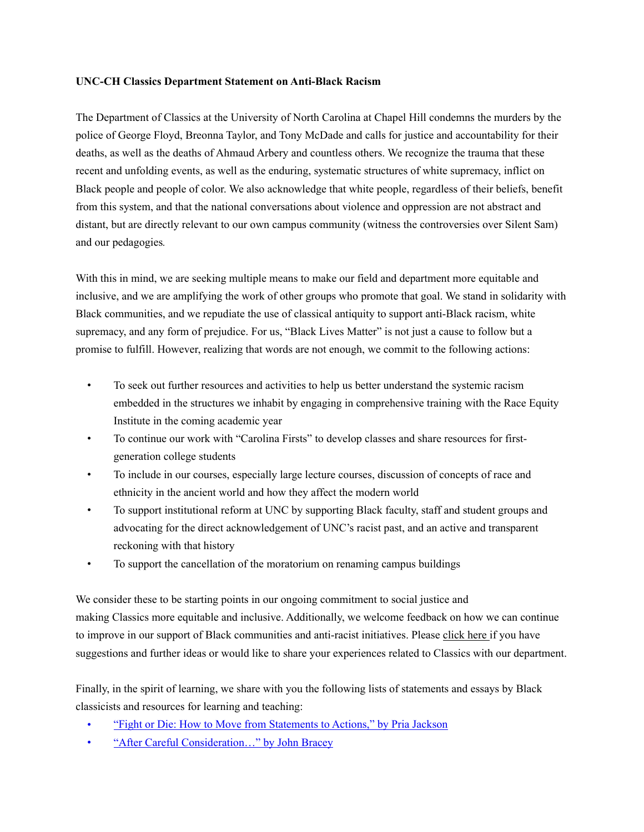## **UNC-CH Classics Department Statement on Anti-Black Racism**

The Department of Classics at the University of North Carolina at Chapel Hill condemns the murders by the police of George Floyd, Breonna Taylor, and Tony McDade and calls for justice and accountability for their deaths, as well as the deaths of Ahmaud Arbery and countless others. We recognize the trauma that these recent and unfolding events, as well as the enduring, systematic structures of white supremacy, inflict on Black people and people of color. We also acknowledge that white people, regardless of their beliefs, benefit from this system, and that the national conversations about violence and oppression are not abstract and distant, but are directly relevant to our own campus community (witness the controversies over Silent Sam) and our pedagogies*.*

With this in mind, we are seeking multiple means to make our field and department more equitable and inclusive, and we are amplifying the work of other groups who promote that goal. We stand in solidarity with Black communities, and we repudiate the use of classical antiquity to support anti-Black racism, white supremacy, and any form of prejudice. For us, "Black Lives Matter" is not just a cause to follow but a promise to fulfill. However, realizing that words are not enough, we commit to the following actions:

- To seek out further resources and activities to help us better understand the systemic racism embedded in the structures we inhabit by engaging in comprehensive training with the Race Equity Institute in the coming academic year
- To continue our work with "Carolina Firsts" to develop classes and share resources for firstgeneration college students
- To include in our courses, especially large lecture courses, discussion of concepts of race and ethnicity in the ancient world and how they affect the modern world
- To support institutional reform at UNC by supporting Black faculty, staff and student groups and advocating for the direct acknowledgement of UNC's racist past, and an active and transparent reckoning with that history
- To support the cancellation of the moratorium on renaming campus buildings

We consider these to be starting points in our ongoing commitment to social justice and making Classics more equitable and inclusive. Additionally, we welcome feedback on how we can continue to improve in our support of Black communities and anti-racist initiatives. Please click here if you have suggestions and further ideas or would like to share your experiences related to Classics with our department.

Finally, in the spirit of learning, we share with you the following lists of statements and essays by Black classicists and resources for learning and teaching:

- ["Fight or Die: How to Move from Statements to Actions," by Pria Jackson](https://eidolon.pub/fight-or-die-a5613e249d9a)
- ["After Careful Consideration…" by John Bracey](https://eidolon.pub/after-careful-consideration-7c50172d0aa3)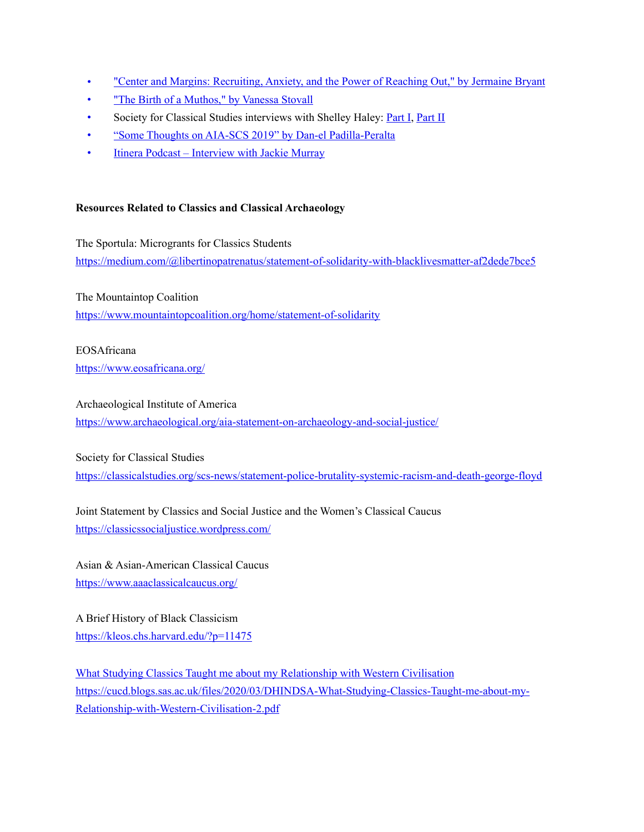- ["Center and Margins: Recruiting, Anxiety, and the Power of Reaching Out," by Jermaine Bryant](https://medium.com/@jermainebryant/center-and-margins-recruiting-anxiety-and-the-power-of-reaching-out-a9775c1e946f)
- ["The Birth of a Muthos," by Vanessa Stovall](https://medium.com/ad-meliora/the-birth-of-a-muthos-df48606917e5)
- Society for Classical Studies interviews with Shelley Haley: [Part I,](https://classicalstudies.org/scs-blog/claire-catenaccio/blog-women-classics-conversation-scs-president-elect-shelley-haley-part-i) [Part II](https://classicalstudies.org/scs-blog/claire-catenaccio/blog-women-classics-conversation-shelley-haley-part-ii)
- ["Some Thoughts on AIA-SCS 2019" by Dan-el Padilla-Peralta](https://medium.com/@danelpadillaperalta/some-thoughts-on-aia-scs-2019-d6a480a1812a)
- [Itinera Podcast Interview with Jackie Murray](https://itinerapodcast.libsyn.com/episode-12-jackie-murray)

## **Resources Related to Classics and Classical Archaeology**

The Sportula: Microgrants for Classics Students <https://medium.com/@libertinopatrenatus/statement-of-solidarity-with-blacklivesmatter-af2dede7bce5>

The Mountaintop Coalition <https://www.mountaintopcoalition.org/home/statement-of-solidarity>

EOSAfricana <https://www.eosafricana.org/>

Archaeological Institute of America

<https://www.archaeological.org/aia-statement-on-archaeology-and-social-justice/>

Society for Classical Studies

<https://classicalstudies.org/scs-news/statement-police-brutality-systemic-racism-and-death-george-floyd>

Joint Statement by Classics and Social Justice and the Women's Classical Caucus <https://classicssocialjustice.wordpress.com/>

Asian & Asian-American Classical Caucus <https://www.aaaclassicalcaucus.org/>

A Brief History of Black Classicism <https://kleos.chs.harvard.edu/?p=11475>

[What Studying Classics Taught me about my Relationship with Western Civilisation](http://cucd.blogs.sas.ac.uk/files/2020/03/DHINDSA-What-Studying-Classics-Taught-me-about-my-Relationship-with-Western-Civilisation-2.pdf) [https://cucd.blogs.sas.ac.uk/files/2020/03/DHINDSA-What-Studying-Classics-Taught-me-about-my-](https://cucd.blogs.sas.ac.uk/files/2020/03/DHINDSA-What-Studying-Classics-Taught-me-about-my-Relationship-with-Western-Civilisation-2.pdf)[Relationship-with-Western-Civilisation-2.pdf](https://cucd.blogs.sas.ac.uk/files/2020/03/DHINDSA-What-Studying-Classics-Taught-me-about-my-Relationship-with-Western-Civilisation-2.pdf)